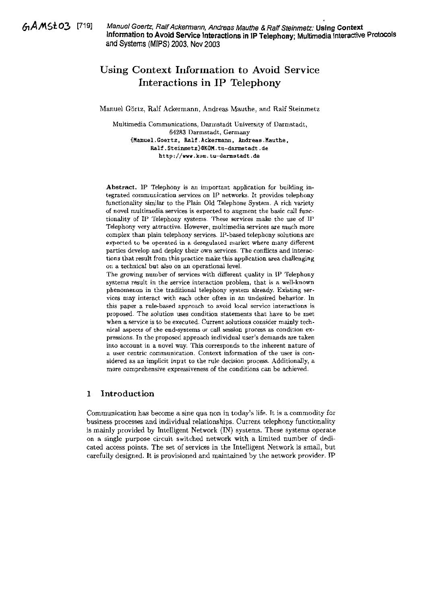$A\land A \leq 0$  [719] Manuel Goertz, Ralf Ackermann, Andreas Mauthe & Ralf Steinmetz: Using Context **Information to Avoid Service lnteractions in IP Telephony; Mulimedia lnteractive Prdocols and Systems** (MIPS) **2003. Nov2003** 

# Using Context Information to Avoid Service **Interactions in IP Telephony**

Manuel Görtz, Ralf Adermann, Andreas Mauthe, and Ralf Steinmetz

Multimedia Communications, Darrnstadt University of Darmstadt, **64283** Darrnstadt, Germariy **fManuel.Goertz, Ralf.Ackermann. Andreas.Mauthe.**  Ralf.Steinmetz**]@KOM.tu-darmstadt.de http://www.korn.tu-darmstadt.de** 

Abstract. 1P Telephony is an important application for building integrated communication services on 1P networks. It provides telephnny functionality similar to the Plain Old Telephone System. **A** rich variety of novel multimedia services is expected to augment the basic call hnctionality of IP Telephony systems **These** services makc thc use of **IP**  Telephony very attractive. However, multimedia services are much more complex thai plaiu telephony services 1P-based telephony solutions **are**  expected to be operated in a deregulated market where many different parties develop and deploy their own services. The conflicts and interactions that result from this practice make this apphcation area challenging on a technical but also on an operational level.

The growing number of services with different quality in IP Telephony systems result in the service interaction problem, that is a well-known phenomenon in the traditional telephony System already. Existing services may interact with each other often in an undesired hehavior. In this paper a rule-based approach to avoid local service interactions is proposed. The solution uses condition statements that have to be met when a service is to be executed. Current solutions consider mainly technical aspects of the end-systems or call session process as condition expressions. In the proposed approad, individual user's demands are taken into account in a novel way. This corresponds to the inherent nature of a User centric communication. Context information of the user is considered **as** an implicit input to the rule decision process. Additionally, a more comprehensive expressiveness of the conditions cari be achieved.

# **1 Introduction**

Communication has become a sine qua non in today's life. Tt is a commodity for business processes and individual relationships. Current telephony functionality is mainly provided by Intelligent Network (IN) systems. These systems operate on a single purpose circuit switched network with a limited number of dedicated access points. The set of services in the Intelligent Network is small, but carefully designed. It is provisioned and maintained by the network provider. IP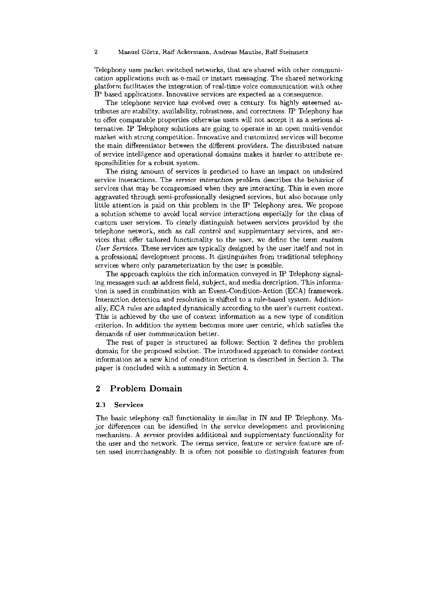# **2** Manuel Görtz, Half Ackermann, Andreas Mauthe, **Ralf** Steinmetz

Telephony uses packet switched networks, that are shared with other communication applications such as e-mail or instant messaging. The shared networking platform facilitates the integration of real-time voice communication with other IP based applications. Innovative services are expected as a consequence.

The telephone service has evolved over a century. Its highly esteemed attributes are stability, availability, robustness, and correctness. IP Telephony has to offer comparable properties otherwise users will not accept it as a serious alternative. IP Telephony solutions are going to operate in an open multi-vendor market with strong competition. Innovative and customized services will become the main differentiator between the different providers. The distributed nature of service intelligente and operational domains makes it harder to attribute responsibilities for a robust system.

The rising amount of services is predicted to have an impact on undesired service interactions. The *service interaction problem* describes the behavior of services that may be compromised when they are interacting. This is even more aggravated through semi-professionally designed services, but also because only little attention is paid on this problem in the IP Telephony area. We propose a solution scheme to avoid local service interactions especiaily for the class of custom User services. To clearly distinguish between services provided by the telephone network, such as call control and supplementary services, and services that offer tailored functionality to the User, we define the term *custom User Services.* These services are typically designed by the user itself and not in a professional development process. It distingiiishes from traditional telephony services where only parameterization by the user is possible.

The approach exploits the rich information conveyed in IP Telephony signaling messages such as address field, subject, and media description. This information is used in combination with an Event-Condition-Action (ECA) frarnework. Interaction detection and resolution is shifted to a rule-based system. Additionally, ECA rules are adapted dynamically according to the user's current context. This is achieved by the use of context information as a new type of condition criterion. In addition the system becomes more User centric, which satisfies the demands of user communication better.

The rest of paper is structured as follows: Section 2 defines the problem domain for the proposed solution. The introduced approach to consider context information as a new kind of condition criterion is described in Section **3.** The paper is concluded with a Summary in Section **4.** 

# **2 Problem Domain**

# 2.1 Services

The basic telephony call functionality is similar in IN and **IP** Telephony. Major differences can be identified in the service development and provisioning mechanisni. A *service* provides additional and supplementary functionality for the user and the network. The terms service, feature or service feature are often used interchangeably. It is often not possible to distinguish features from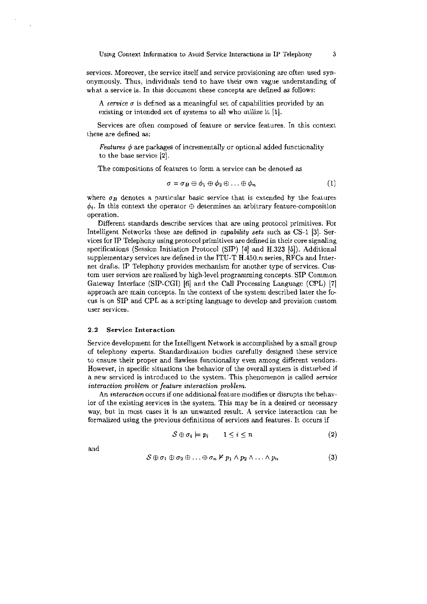services. Moreover, the service itself and service provisioning are often used synonymously. Thus, individuals tend to have their own vague understanding of what a service is. In this document these concepts are defined as follows:

A service  $\sigma$  is defined as a meaningful set of capabilities provided by an existing or intended set of systems to all who utilize it [1].

Services are often composed of feature or service features. In this context these are defined as:

Features  $\phi$  are packages of incrementally or optional added functionality to the base service **[2].** 

The compositions of features to form a service can he denoted as

$$
\sigma = \sigma_B \oplus \phi_1 \oplus \phi_2 \oplus \ldots \oplus \phi_n \tag{1}
$$

where  $\sigma_B$  denotes a particular basic service that is extended by the features  $\phi_i$ . In this context the operator  $\oplus$  determines an arbitrary feature-composition operation.

Different standards descrihe services that are using protocol primitives. For Intelligent Networks these are defined in *capability sets* such as  $CS-1$  [3]. Services for IP Telephony using protocol primitives are defined in thcir core signaling specifications (Session Initiation Protocol (SIP)  $[4]$  and H.323  $[5]$ ). Additional supplementary services are defined in the ITU-T **H.450.n** series, RFCs and Internet dralts. IP Telephony provides mechanism for another type of services. Custom User services are realized by high-level programming concepts. SIP Common Gateway Interface (SIP-CGI) [6] and the Call Processing Language (CPL) [7] approach are main concepts. In the context of the system described later the fo cus is on SIP and CPL as a scripting language to develop and provision custom User services.

#### **2.2 Scrvice Interaction**

Service development for the Intelligent Network is accomplished hy a small group of telephony experts. Standardizahion budies carefully designed these service to ensure their proper and flawless functionality even among different vendors. However, in specific situations the behavior of the overall system is disturbed if a new serviced is introduced to the system. This phenomenon is called *service* interaction problem or feature interaction problem.

An *interaction* occurs if one additional feature modifies or disrupts the behavior of the existing services in the system. This may be in a desired or necessary nay, hut in most cases it is an unwanted result. **A** service interaction can **be**  formalized using the previous definitions of services md features. It occurs if

$$
S \oplus \sigma_i \models p_i \qquad 1 \leq i \leq n \tag{2}
$$

and

$$
S \oplus \sigma_1 \oplus \sigma_2 \oplus \ldots \oplus \sigma_n \nvDash p_1 \wedge p_2 \wedge \ldots \wedge p_n \tag{3}
$$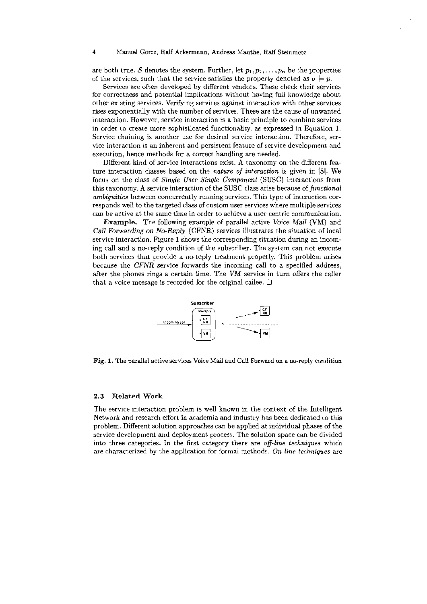# **4** Manuel Görtz, Ralf Ackermann, Andreas Mautbe, Ralf Steinmetz

are both true.  $S$  denotes the system. Further, let  $p_1, p_2, \ldots, p_n$  be the properties Manuel Görtz, Ralf Ackermann, Andreas Mauthe, Ralf Steinmetz<br>are both true. S denotes the system. Further, let  $p_1, p_2, \ldots, p_n$  be the properties<br>of the services, such that the service satisfies the property denoted as  $\$ 

Services **are** often developed by different vendors. These check their services for correctness and potential implications without having full knowledge about other existing services. Verifying services against interaction with other services rises exponentially with the number of services. These are the cause of unwanted interaction. However, service interaction is a basic principle to combine services in order to create mors sophisticated functionality, as expressed in Equation 1. Service chaining is another use for desired service interaction. Therefore, service interaction is an inherent and persistent feature of service development and execution, hence methods for a correct handling are needed.

Different kind of service interactions exist. **A** taxonomy on the different feature interaction classes based on the *nature* of *interaction* is given in 181. We focus on the class of *Single User Single Component* (SUSC) interactions from this taxonomy. **A** service interaction of the SUSC class arise because of *functional ambiguitiee* between concurrently running services. This type of interaction corresponds well to the targeted class of custom user services where multiple services can be active at the same time in order to achieve a user centric communication.

Example. The following example of parallel active Voice **Mai1** (VM) and Ca11 Forwarding on No-Reply (CFNR) services illustrates the situation of local service interaction. Figure 1 shows the corresponding situation during an incoming call and a no-reply condition of the subscriber. The system can not execute both services that provide a no-reply treatment properly. This problem arises because the CFNR service forwards the incoming call to a specified address, after the phones rings a certain time. The VM service in turn offers the caller that a voice message is recorded for the original callee.  $\Box$ 



Fig. 1. The parallel active services Voice Mail and Call Forward on a no-reply condition

#### 2.3 Related **Work**

The service interaction problem is well known in the context of the Intelligent Network and research effort in academia and industry has been dedicated to this problem. Different solution approaches can be applied at individual phases of the service development and deployment process. The solution space can be divided into three. categories. In the first category tbere are *08-line techniques* which are characterized by the application for formal methods. *On-line techniques* are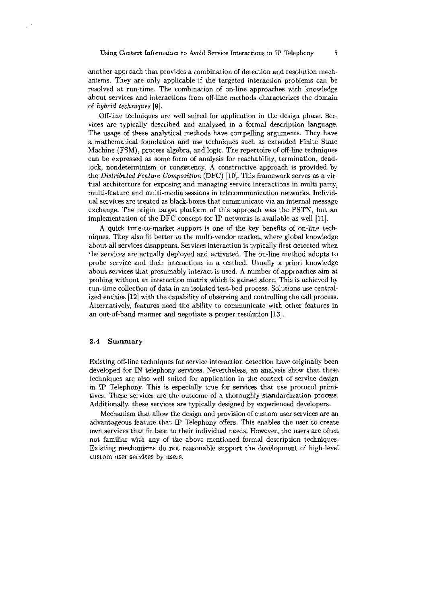another approach that provides a combination of detection and resolution mechanisms. They are only applicable if the targeted interaction problems can be resolved at run-time. The combination of on-line approaches with knowledge about services and interactions from off-line methods characterizes the domain of hybrid techniques **[9].** 

Off-line techniques are well suited for application in the design phase. Services are typically described and analyzed in a formal description language. The usage of these analytical methods have compelling arguments. They have a mathematical foundation and use techniques such as extended Finite State Machine (FSM), process algebra, and logic. The repertoire of off-line techniques can be expressed **as** some form of analysis for reachability, termination, deadlock, nondeterminism or consistency. A constructive approach is provided by the *Distributed Feature Composition* (DFC)  $[10]$ . This framework serves as a virtual architecture for exposing and managing service interactions in multi-party, multi-feature and multi-media sessions in telecommunication networks. Individual services are treated **as** black-boxes that communicate via an internal message exchange. The origin target platform of this approach was the PSTN, but an implementation of the DFC concept for IP networks is available as well **[ll].** 

A quick time-to-market support is one of the key benefits of on-line techniques. They also fit better to the multi-vendor market, where global knowledge ahout all services disappears. Services interaction is typically first detected when the services are actually deployed and activated. The on-line method adopts to probe service and their interactions in a testbed. Usually a priori knowledge about services that presumably interact is used. A number of approaches aim at probing without an interaction matrix which is gained afore. This is achieved by run-time collection of data in an isolated test-bed process. Solutions use centralized entities **[12]** with the capability of observing and controlling the call process. Alternatively, features need the ability to communicate with other features in an out-of-band manner and negotiate a proper resolution **[13].** 

# **2.4 Summary**

 $\mathcal{L}$ 

Existing off-line techniques for service interaction detection have originally been developed for IN telephony services. Nevertheless, an analysis show that these techniques are also well siiited for application in the context of service design in IP Telephony. This is especially true for services that use protocol primitives. These services are the outcome of a thoroughly standardization process. Additionally, these services are typically designed by experienced developers.

Mechanism that allow the design and provision of custom user services are an advantageous feature that IP Telephony offers. This enables the user to create own services that fit best to their individual needs. However, the users are often not familiar with any of the above mentioned formal description techniques. Existing mechanisms do not reasonable support the development of high-level custom user services by users.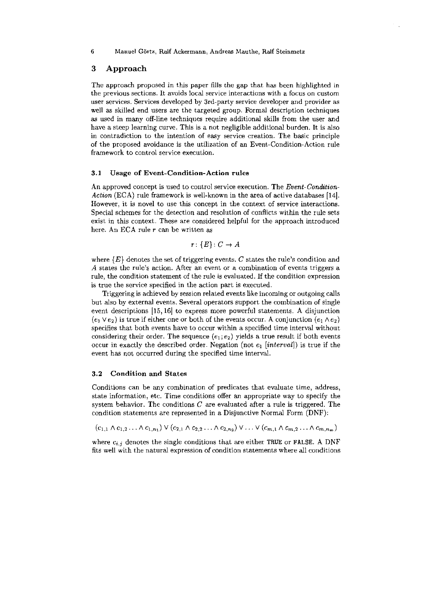*6* Manuel **Görtz,** Raif Ackermann, Andreas Mauthe, Ralf Steinmetz

# **3 Approach**

The approach proposed in this paper fills the gap that has been highlighted in the previous sections. It avoids local service interactions with a focus on custom user services. Services developed by 3rd-party service developer and provider as well **as** skilled end users are the targeted group. Formal description techniques as used in many off-line techniques require additional skills from the user and have a steep learning curve. This is a not negligible additional burden. It is also in contradiction to the intention of easy service creation. The basic principle of the proposed avoidance is the utilization of an Event.-Condition-Action rule framework to control service execution.

#### **3.1** Usage of Event-Condition-Action rules

An approved concept is used to control service execution. The Event-Condition-Action (ECA) rule framework is well-known in the area of active databases **[14].**  However, it is novel to use this concept in the context of service interactions. Special schemes for the detection and resolution of conflicts within the rule sets exist in this context. These are considered helpful for the approach introduced here. An ECA rule *r* can be written as

$$
r\colon\{E\}\colon C\to A
$$

where  ${E}$  denotes the set of triggering events. C states the rule's condition and *A* states the rule's action. After an event or a combination of events triggers a rule, the condition statement of the rule is evaluated. If the condition expression is true the service specified in the action part is executed.

Triggering is achieved by session related events like incoming or outgoing calls but also by external events. Several Operators Support the combination of single event descriptions **115,161** to express more powerful statements. A disjunction  $(e_1 \vee e_2)$  is true if either one or both of the events occur. A conjunction  $(e_1 \wedge e_2)$ specifies that both events have to occur within a specified time interval without considering their order. The sequence  $(e_1, e_2)$  yields a true result if both events occur in exactly the described order. Negation (not  $e_1$  [interval]) is true if the event has not occurred during the specified time interval.

### 3.2 Condition and States

Conditions can be any combination of predicates that evaluate time, address, state information, etc. Time conditions offer an appropriate way to specify the system behavior. The conditions  $C$  are evaluated after a rule is triggered. The condition statements are represented in a Disjunctive Normal Form (DNF):

 $(c_{1,1} \wedge c_{1,2} \ldots \wedge c_{1,n_1}) \vee (c_{2,1} \wedge c_{2,2} \ldots \wedge c_{2,n_2}) \vee \ldots \vee (c_{m,1} \wedge c_{m,2} \ldots \wedge c_{m,n_m})$ 

where  $c_{i,j}$  denotes the single conditions that are either TRUE or FALSE. A DNF fits well with the natural expression of condition statements where all conditions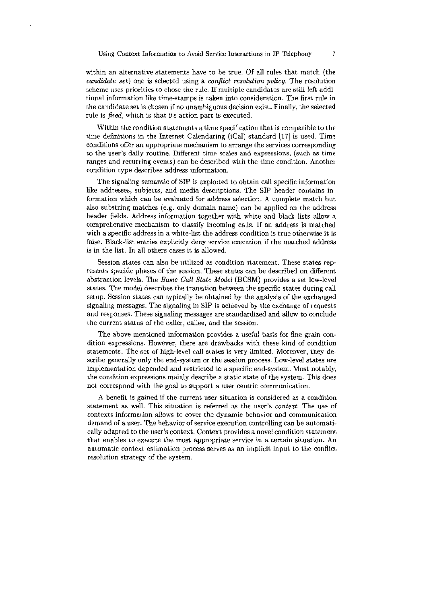within an alternative statements have to be true. Of all rules that match (the  $candidate set)$  one is selected using a *conflict resolution policy*. The resolution scheme iises priorities to chose the rule. If multiple candidates are still left additional information like time-stamps is taken into consideration. The first rule in the candidate set is chosen if no unambiguous decision exist. Finally, the selected rule is *fired*, which is that its action part is executed.

Within the condition statements a time specification that is compatible to the time definitions in the Internet Calendaring  $(iCal)$  standard  $[17]$  is used. Time conditions offer an appropriate mechanism to arrange the services corresponding to the user's daily routine. Different time scaies and expressions, (such as time ranges and recurring events) can be described with the time condition. Another condition type describes address information.

The signaling semantic of SIP is exploited to obtain call specific information like addresses, subjects, and media descriptions. The SIP header contains information which can be evaluated for address selection. A complete match but also substring matches (e.g. only domain name) can be applied on the address header fields. Address information together with white and black lists ailow a comprehensive mechanism to classify incoming calls. If an address is matched with a specific address in a white-list the address condition is true otherwise it is false. Black-list entries explicitly deny service execution if the matched address is in the list. In all others cases it is ailowed.

Session states can also be utilized as condition statement. These states represents specific phases of the session. These states can be described on different abstraction levels. The Basic **Call** Stute Model (BCSM) provides a Set low-level stales. The model describes the transition between the specific states during call setup. Session states can typically be obtained by the analysis of the exchanged signaling messages. The signaling in SIP is achieved by the cxchange of requests and responses. These signaling messages are standardized and allow to conclude the current status of the caller, callee, and the session.

The above mentioned information provides a useful basis for fine grain condition expressions. However, there are drawbacks with these kind of condition statements. Thc sct of high-level call states is very limited. Moreover, they **de**scribe generally only the end-system or the session process. Low-level states are implementation depended and restricted to a specific end-system. Most notably, the condition expressions mainly describe a static state of the system. This does not correspond with the goal to Support a User centric communication.

**A** benefit is gained if the current user situation is considered as a condition statement as well. This situation is referred as the user's contezt. The use of contexts information allows to Cover the dynamic bchavior and communication demand of a user. The behavior of service execution controlling can be automatically adapted to the user's context. Context provides a novel condition statement that enables to execute the most appropriate service in a certain situation. An automatic context estimation process serves as an implicit input to the conflict resolution strategy of the system.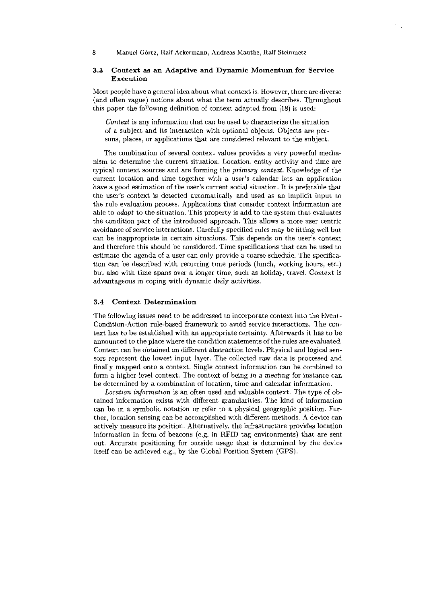**8** Manuel Görtz, Ralf Ackermann, Andreas Mauthe, Ralf Steinmetz

### **3.3 Context as an Adaptive and Dynamic Momentum for Service Execution**

Most people have a general idea about what context is. However, there are diverse (and often vague) notions about what the term actually describes. Throughout this paper the following definition of context adapted from **[18)** is used:

Contezt is any information that can be used to characterize the situation of a subject and its interaction with optional objects. Objects are persons, places, or applications that are considered relevant to the subject.

The combination of several context values provides a very powerful mechanism to determine the current situation. Location, entity activity and time are typical context sources and are forming the *primary context*. Knowledge of the current location and time together with a user's calendar lets an application have a good estimation of the user's current social situation. It is preferable that the user's context is detected automatically and used as an implicit input to the rule evaluation process. Applications that consider context information are able to  $adapt$  to the situation. This property is add to the system that evaluates the condition part of the introduced approach. This allows a more user centric avoidance of service interactions. Carefully specified riiles may be fitting well but can be inappropriate in certain situations. This depends on the user's context and therefore this should be considered. Time specifications that can be used to estimate the agenda of a user can only provide a coarse schedule. The specification can be described with recurring time periods (lunch, working hours, etc.) but also with time spans over a longer time, such as holiday, travel. Context is advantageous in coping with dynamic daily activities.

#### **3.4 Context Determination**

The following issues need to be addressed to incorporate context into the Event-Condition-Action rule-based framework to avoid service interactions. The context has to be established with an appropriate certainty. Afterwards it has to be announced to the place where the condition statements of the rules are evaluated. Context can be obtained on different abstraction levels. Physical and logical sensors represent the lowest input layer. The collected raw data is processed and finally mapped onto a context. Single context information can be combined to form a higher-level context. The context of being in a meeting for instance can be determined by a combination of location, time and calendar information.

Location information is an often used and valuable context. The type of obtained information exists with different granularities. The kind of information can be in a symbolic notation or refer to a physical geographic position. Further, location sensing can be accomplished with different methods. **A** device can actively measure its position. Alternatively, the infrastructure provides location information in form of beacons (e.g. in RFID tag environments) that are sent out. Accurate positioning for outside usage that is determined by the device itself can be achieved e.g., by the Global Position System (GPS).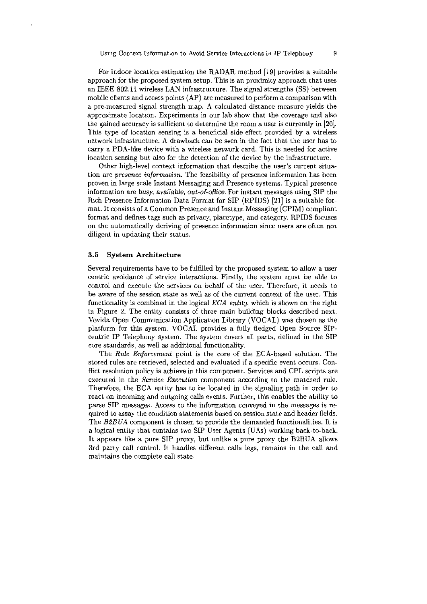For indoor location estimation the RADAR method **[I91** provides a suitable approach for the proposed system setup. This is an proximity approach that uses an IEEE 802.11 wireless LAN infrastructure. The signal strengths (SS) between mobile clients and access points (AP) are measured to perform a comparison with a pre-measured signal strength map. A calculated distance measure yields the approximate location. Experiments in our lab show that the coverage and also the gained accuracy is sufficient to determine the room a user is currently in [20]. This type of location sensing is a beneficial side-effect provided by a wireless network infrastructure. A drawback can be seen in the fact that the user has to carry a PDA-like device with a wireless network card. This is needed for active location sensing but also for the detection of the device by the infrastructure.

Other high-level context information that describe the user's current situation are presence information. The feasibility of presence information has been proven in large scale Instant Messaging and Presence Systems. Typical presence information are busy, available, out-of-office. For instant messages using SIP the Rich Presence Information Data Format for SIP (RPIDS) [21] is a suitable format. It consists of a Comnion Presence and Instant Messaging (CPIM) compliant forrnat and defines tags such as privacy, placetype, and category. RPIDS focuses on the automatically deriving of presence information since users are often not diligent in updating their status.

### 3.5 System Architecture

Several requirements have to be fulfilled by the proposed system to allow a user centric avoidance of Service interactions. Firstly, the systern must be able to control and execute the services on behalf of the user. Therefore, it needs to be aware of the session state as well **as** of the current context of the user. This functionality is combined in the logical  $ECA$  entity, which is shown on the right in Figure 2. The entity consists of three main building blocks described next. Vovida Open Communication Application Library (VOCAL) was chosen as the platform for this systern. VOCAL provides a fiilly fledged Open Source SIPcentric IP Telephony system. The system covers all parts, defined in the SIP core standards, as well as additional functionality.

The *Rule Enforcement* point is the core of the ECA-based solution. The stored rules are retrieved, selected and evaluated if a specific event occurs. Conflict resolution policy is achieve in this component. Services and CPL scripts are executed in the Seruice Ezecution component according to the matched rule. Therefore, the ECA entity has to be located in the signaling path in order to react on incoming and outgoing calls events. Further, this enables the ability to parse SIP messages. Access to the information conveyed in the messages is required to assay the condition statements based on session state and header fields. The *BZBUA* component is chosen to provide the demanded functionalities. It is a logical entity that contains two SIP User Agents (UAs) working back-to-back. It appears like a pure SIP proxy, but unlike a pure proxy the B2BUA allows 3rd party call control. It handles different calls legs, remains in the call and maintains the complete call state.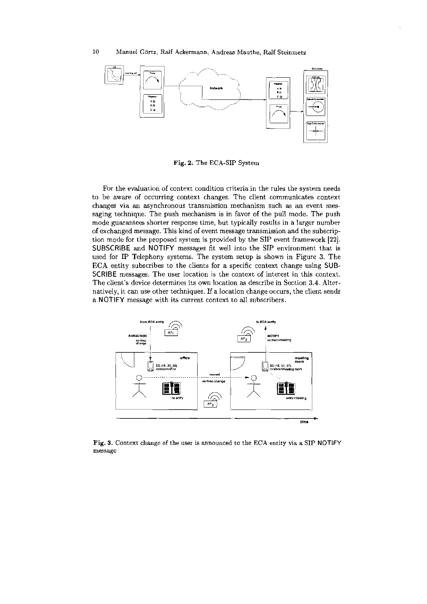10 Manuel Görtz, **Ralf** Ackermann, Andreas Mauthe, Ralf Steinmetz



**Fig. 2.** The ECA-SIP System

For the evaluation of context condition criteria in the rules the system needs to be aware of occurring context changes. The client communicates context changes via an asynchronous transmission mechanism such as an event messaging technique. The push mechanism is in favor of the pull mode. The push mode guarantees shorter response time, but typically results in a larger number of exchanged message. This kind of event message trarismission and the subscription mode for the proposed system is provided by the SIP event framework **[22].**  SUBSCRIBE and NOTIFY messages fit well into the SIP environment that is used for IP Telephony systems. The system setup is shown in Figure 3. The ECA entity subscribes to the clients for a specific context change using SUB-SCRIBE messages. The user location is the context of interest in this context. The client's device determines its own location as describe in Section **3.4.** Alternatively, it can use other techniques. If a location change occurs, the client sends a NOTIFY message with its current context to all subscribers.



Fig. 3. Context change of the user is announced to the ECA entity via a SIP NOTIFY message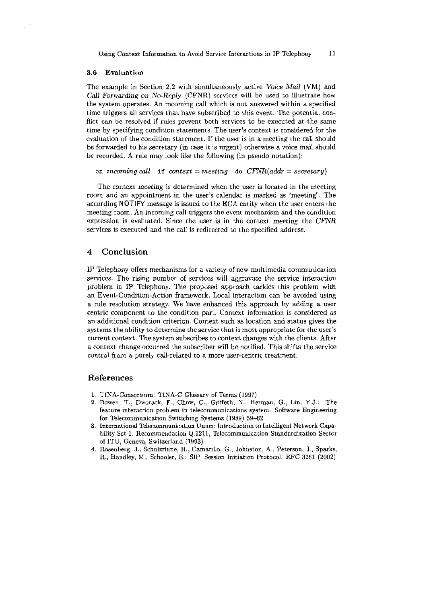### **3.6** Evaluation

The example in Section **2.2** with simultaneously active Voice Mai1 (VM) and Call Forwarding on No-Reply (CFNR) services will be used to illustrate how the system operates. An incoming call which is not answered within a specified time triggers all services that have subscribed to this event. The potential conflict can be resolved if rules prevent both services to be executed at the same time by specifying condition Statements. The user's context is considered for the evaluation of the condition statement. If the user is in a meeting the call should be forwarded to his secretary (in case it is urgent) otherwise a voice mail should be recorded. A rule may look like the following (in pseudo notation):

```
on incoming call if context = meeting do CFNR(addr = secretary)
```
The context meeting is determined when the user is located in the meeting room and an appointment in the user's calendar is marked as "meeting". The according NOTIFY message is issued to the ECA entity when the user enters the meeting room. An incoming call triggers the event mechanism and the condition expression is evaluated. Since the user is in the context meeting the CFNR services is executed and the call is redirected to the specified address.

# **4 Conclusion**

IP Telephony offers mechanisms for a variety of new multimedia communication services. The rising number of services will aggravate the service interaction problem in IP Telephony. The proposed approach tackles this problem with an Event-Condition-Action framework. Local interaction can be avoided using a rule resolution strategy. We have enhanced this approach by adding a user centric component to the condition part. Context information is considered as an additional condition criterion. Context such as location and Status gives the systems the ability to determine the service that is most appropriate for the user's current context. The system subscribes tu context changes with the clients. After a context change occurred the subscriber will be notified. This shifts the service control from a purely call-related to a more user-centric treatment.

# **References**

- 1 TINA-Consortium: TINA-C Glossary of Terms (1997)
- 2. Bowen, **T.,** Dwurack, F., Chow, C., Grfieth, **X.,** Herman, G., Lin, Y.J.: The feature interaction prohlem in telecommunications system. Software Engineering for Telecommunication Switiching Systems (1989) 59-62
- **3.** Internatiorid Telecommunication Union: Introduction to Intelligent Network Capability Set 1. Recommendation Q.1211, TeIecommunication Standardization Sector of ITU, Genen, Switzerland (1993)
- **4.** Ibsenberg, **J.,** Schulzrinne, H., Camarillo, G., Johnston, **A.,** Peterson, J., Sparks, **R.,** Handley, M., Schooler, E.: SIP: Session Initiation Protocol. RFC 3261 (2002)